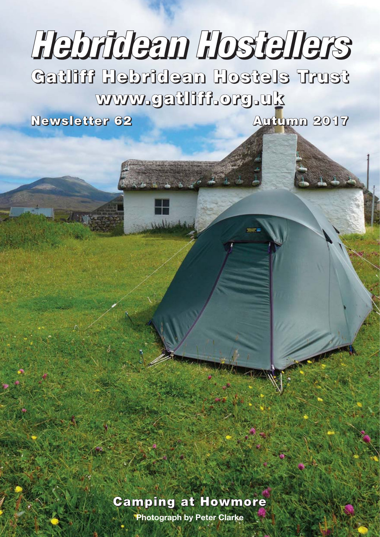# **Hebridean Hostellers**

**Gatliff Hebridean Hostels Trust www.gatliff.org.uk**

**Newsletter 62 Autumn 2017**

### **Camping at Howmore**

**Photograph by Peter Clarke**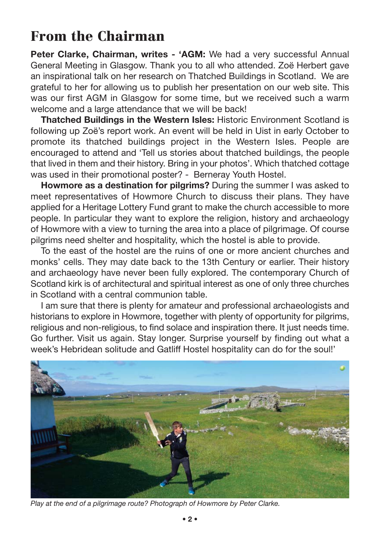## **From the Chairman**

**Peter Clarke, Chairman, writes - 'AGM:** We had a very successful Annual General Meeting in Glasgow. Thank you to all who attended. Zoë Herbert gave an inspirational talk on her research on Thatched Buildings in Scotland. We are grateful to her for allowing us to publish her presentation on our web site. This was our first AGM in Glasgow for some time, but we received such a warm welcome and a large attendance that we will be back!

**Thatched Buildings in the Western Isles:** Historic Environment Scotland is following up Zoë's report work. An event will be held in Uist in early October to promote its thatched buildings project in the Western Isles. People are encouraged to attend and 'Tell us stories about thatched buildings, the people that lived in them and their history. Bring in your photos'. Which thatched cottage was used in their promotional poster? - Berneray Youth Hostel.

**Howmore as a destination for pilgrims?** During the summer I was asked to meet representatives of Howmore Church to discuss their plans. They have applied for a Heritage Lottery Fund grant to make the church accessible to more people. In particular they want to explore the religion, history and archaeology of Howmore with a view to turning the area into a place of pilgrimage. Of course pilgrims need shelter and hospitality, which the hostel is able to provide.

To the east of the hostel are the ruins of one or more ancient churches and monks' cells. They may date back to the 13th Century or earlier. Their history and archaeology have never been fully explored. The contemporary Church of Scotland kirk is of architectural and spiritual interest as one of only three churches in Scotland with a central communion table.

I am sure that there is plenty for amateur and professional archaeologists and historians to explore in Howmore, together with plenty of opportunity for pilgrims, religious and non-religious, to find solace and inspiration there. It just needs time. Go further. Visit us again. Stay longer. Surprise yourself by finding out what a week's Hebridean solitude and Gatliff Hostel hospitality can do for the soul!'



*Play at the end of a pilgrimage route? Photograph of Howmore by Peter Clarke.*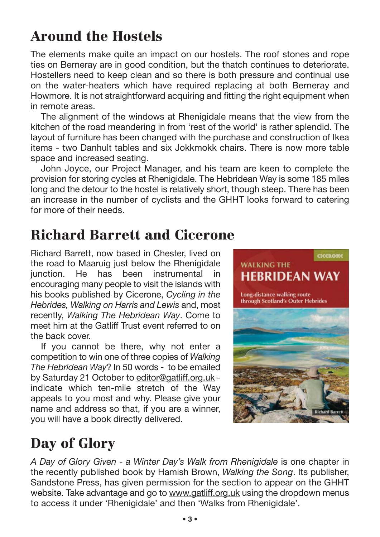# **Around the Hostels**

The elements make quite an impact on our hostels. The roof stones and rope ties on Berneray are in good condition, but the thatch continues to deteriorate. Hostellers need to keep clean and so there is both pressure and continual use on the water-heaters which have required replacing at both Berneray and Howmore. It is not straightforward acquiring and fitting the right equipment when in remote areas.

The alignment of the windows at Rhenigidale means that the view from the kitchen of the road meandering in from 'rest of the world' is rather splendid. The layout of furniture has been changed with the purchase and construction of Ikea items - two Danhult tables and six Jokkmokk chairs. There is now more table space and increased seating.

John Joyce, our Project Manager, and his team are keen to complete the provision for storing cycles at Rhenigidale. The Hebridean Way is some 185 miles long and the detour to the hostel is relatively short, though steep. There has been an increase in the number of cyclists and the GHHT looks forward to catering for more of their needs.

## **Richard Barrett and Cicerone**

Richard Barrett, now based in Chester, lived on the road to Maaruig just below the Rhenigidale junction. He has been instrumental in encouraging many people to visit the islands with his books published by Cicerone, *Cycling in the Hebrides, Walking on Harris and Lewis* and, most recently, *Walking The Hebridean Way*. Come to meet him at the Gatliff Trust event referred to on the back cover.

If you cannot be there, why not enter a competition to win one of three copies of *Walking The Hebridean Way*? In 50 words - to be emailed by Saturday 21 October to editor@gatliff.org.uk indicate which ten-mile stretch of the Way appeals to you most and why. Please give your name and address so that, if you are a winner, you will have a book directly delivered.



# **Day of Glory**

*A Day of Glory Given - a Winter Day's Walk from Rhenigidale* is one chapter in the recently published book by Hamish Brown, *Walking the Song*. Its publisher, Sandstone Press, has given permission for the section to appear on the GHHT website. Take advantage and go to www.gatliff.org.uk using the dropdown menus to access it under 'Rhenigidale' and then 'Walks from Rhenigidale'.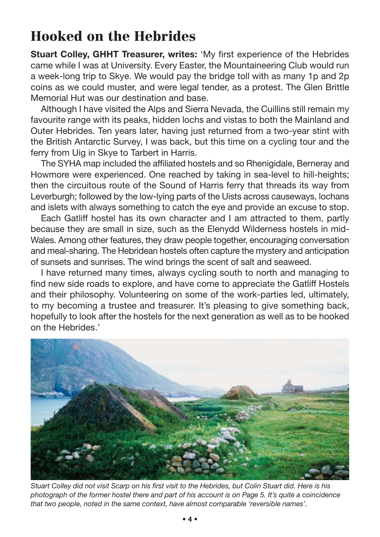## **Hooked on the Hebrides**

**Stuart Colley, GHHT Treasurer, writes:** 'My first experience of the Hebrides came while I was at University. Every Easter, the Mountaineering Club would run a week-long trip to Skye. We would pay the bridge toll with as many 1p and 2p coins as we could muster, and were legal tender, as a protest. The Glen Brittle Memorial Hut was our destination and base.

Although I have visited the Alps and Sierra Nevada, the Cuillins still remain my favourite range with its peaks, hidden lochs and vistas to both the Mainland and Outer Hebrides. Ten years later, having just returned from a two-year stint with the British Antarctic Survey, I was back, but this time on a cycling tour and the ferry from Uig in Skye to Tarbert in Harris.

The SYHA map included the affiliated hostels and so Rhenigidale, Berneray and Howmore were experienced. One reached by taking in sea-level to hill-heights; then the circuitous route of the Sound of Harris ferry that threads its way from Leverburgh; followed by the low-lying parts of the Uists across causeways, lochans and islets with always something to catch the eye and provide an excuse to stop.

Each Gatliff hostel has its own character and I am attracted to them, partly because they are small in size, such as the Elenydd Wilderness hostels in mid-Wales. Among other features, they draw people together, encouraging conversation and meal-sharing. The Hebridean hostels often capture the mystery and anticipation of sunsets and sunrises. The wind brings the scent of salt and seaweed.

I have returned many times, always cycling south to north and managing to find new side roads to explore, and have come to appreciate the Gatliff Hostels and their philosophy. Volunteering on some of the work-parties led, ultimately, to my becoming a trustee and treasurer. It's pleasing to give something back, hopefully to look after the hostels for the next generation as well as to be hooked on the Hebrides.'



*Stuart Colley did not visit Scarp on his first visit to the Hebrides, but Colin Stuart did. Here is his photograph of the former hostel there and part of his account is on Page 5. It's quite a coincidence that two people, noted in the same context, have almost comparable 'reversible names'.*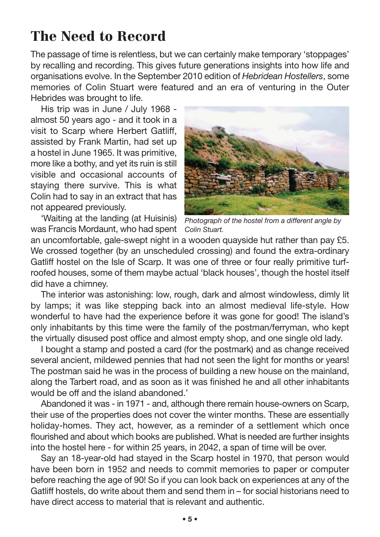## **The Need to Record**

The passage of time is relentless, but we can certainly make temporary 'stoppages' by recalling and recording. This gives future generations insights into how life and organisations evolve. In the September 2010 edition of *Hebridean Hostellers*, some memories of Colin Stuart were featured and an era of venturing in the Outer Hebrides was brought to life.

His trip was in June / July 1968 almost 50 years ago - and it took in a visit to Scarp where Herbert Gatliff, assisted by Frank Martin, had set up a hostel in June 1965. It was primitive, more like a bothy, and yet its ruin is still visible and occasional accounts of staying there survive. This is what Colin had to say in an extract that has not appeared previously.

'Waiting at the landing (at Huisinis) was Francis Mordaunt, who had spent *Colin Stuart.*



*Photograph of the hostel from a different angle by*

an uncomfortable, gale-swept night in a wooden quayside hut rather than pay £5. We crossed together (by an unscheduled crossing) and found the extra-ordinary Gatliff hostel on the Isle of Scarp. It was one of three or four really primitive turfroofed houses, some of them maybe actual 'black houses', though the hostel itself did have a chimney.

The interior was astonishing: low, rough, dark and almost windowless, dimly lit by lamps; it was like stepping back into an almost medieval life-style. How wonderful to have had the experience before it was gone for good! The island's only inhabitants by this time were the family of the postman/ferryman, who kept the virtually disused post office and almost empty shop, and one single old lady.

I bought a stamp and posted a card (for the postmark) and as change received several ancient, mildewed pennies that had not seen the light for months or years! The postman said he was in the process of building a new house on the mainland, along the Tarbert road, and as soon as it was finished he and all other inhabitants would be off and the island abandoned.'

Abandoned it was - in 1971 - and, although there remain house-owners on Scarp, their use of the properties does not cover the winter months. These are essentially holiday-homes. They act, however, as a reminder of a settlement which once flourished and about which books are published. What is needed are further insights into the hostel here - for within 25 years, in 2042, a span of time will be over.

Say an 18-year-old had stayed in the Scarp hostel in 1970, that person would have been born in 1952 and needs to commit memories to paper or computer before reaching the age of 90! So if you can look back on experiences at any of the Gatliff hostels, do write about them and send them in – for social historians need to have direct access to material that is relevant and authentic.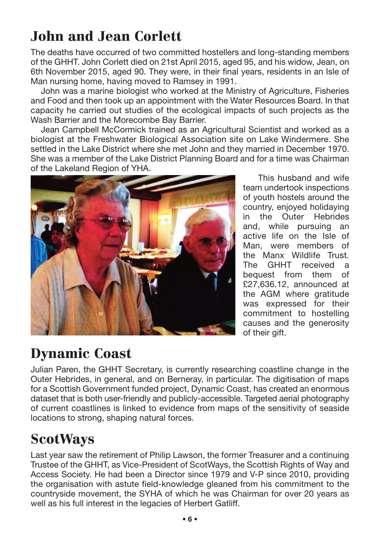# **John and Jean Corlett**

The deaths have occurred of two committed hostellers and long-standing members of the GHHT. John Corlett died on 21st April 2015, aged 95, and his widow, Jean, on 6th November 2015, aged 90. They were, in their final years, residents in an Isle of Man nursing home, having moved to Ramsey in 1991.

John was a marine biologist who worked at the Ministry of Agriculture, Fisheries and Food and then took up an appointment with the Water Resources Board. In that capacity he carried out studies of the ecological impacts of such projects as the Wash Barrier and the Morecombe Bay Barrier.

Jean Campbell McCormick trained as an Agricultural Scientist and worked as a biologist at the Freshwater Biological Association site on Lake Windermere. She settled in the Lake District where she met John and they married in December 1970. She was a member of the Lake District Planning Board and for a time was Chairman of the Lakeland Region of YHA.

This husband and wife team undertook inspections of youth hostels around the country, enjoyed holidaying in the Outer Hebrides and, while pursuing an active life on the Isle of Man, were members of the Manx Wildlife Trust. The GHHT received a bequest from them of £27,636.12, announced at the AGM where gratitude was expressed for their commitment to hostelling causes and the generosity of their gift.

# **Dynamic Coast**

Julian Paren, the GHHT Secretary, is currently researching coastline change in the Outer Hebrides, in general, and on Berneray, in particular. The digitisation of maps for a Scottish Government funded project, Dynamic Coast, has created an enormous dataset that is both user-friendly and publicly-accessible. Targeted aerial photography of current coastlines is linked to evidence from maps of the sensitivity of seaside locations to strong, shaping natural forces.

## **ScotWays**

Last year saw the retirement of Philip Lawson, the former Treasurer and a continuing Trustee of the GHHT, as Vice-President of ScotWays, the Scottish Rights of Way and Access Society. He had been a Director since 1979 and V-P since 2010, providing the organisation with astute field-knowledge gleaned from his commitment to the countryside movement, the SYHA of which he was Chairman for over 20 years as well as his full interest in the legacies of Herbert Gatliff.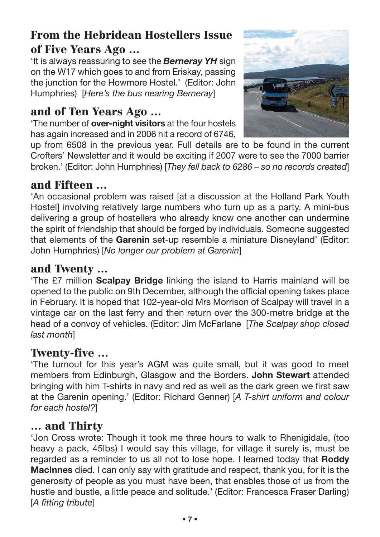#### **From the Hebridean Hostellers Issue of Five Years Ago …**

'It is always reassuring to see the *Berneray YH* sign on the W17 which goes to and from Eriskay, passing the junction for the Howmore Hostel.' (Editor: John Humphries) [*Here's the bus nearing Berneray*]

#### **and of Ten Years Ago …**

'The number of **over-night visitors** at the four hostels has again increased and in 2006 hit a record of 6746,



up from 6508 in the previous year. Full details are to be found in the current Crofters' Newsletter and it would be exciting if 2007 were to see the 7000 barrier broken.' (Editor: John Humphries) [*They fell back to 6286 – so no records created*]

#### **and Fifteen …**

'An occasional problem was raised [at a discussion at the Holland Park Youth Hostel] involving relatively large numbers who turn up as a party. A mini-bus delivering a group of hostellers who already know one another can undermine the spirit of friendship that should be forged by individuals. Someone suggested that elements of the **Garenin** set-up resemble a miniature Disneyland' (Editor: John Humphries) [*No longer our problem at Garenin*]

#### **and Twenty …**

'The £7 million **Scalpay Bridge** linking the island to Harris mainland will be opened to the public on 9th December, although the official opening takes place in February. It is hoped that 102-year-old Mrs Morrison of Scalpay will travel in a vintage car on the last ferry and then return over the 300-metre bridge at the head of a convoy of vehicles. (Editor: Jim McFarlane [*The Scalpay shop closed last month*]

#### **Twenty-five …**

'The turnout for this year's AGM was quite small, but it was good to meet members from Edinburgh, Glasgow and the Borders. **John Stewart** attended bringing with him T-shirts in navy and red as well as the dark green we first saw at the Garenin opening.' (Editor: Richard Genner) [*A T-shirt uniform and colour for each hostel?*]

#### **… and Thirty**

'Jon Cross wrote: Though it took me three hours to walk to Rhenigidale, (too heavy a pack, 45lbs) I would say this village, for village it surely is, must be regarded as a reminder to us all not to lose hope. I learned today that **Roddy MacInnes** died. I can only say with gratitude and respect, thank you, for it is the generosity of people as you must have been, that enables those of us from the hustle and bustle, a little peace and solitude.' (Editor: Francesca Fraser Darling) [*A fitting tribute*]